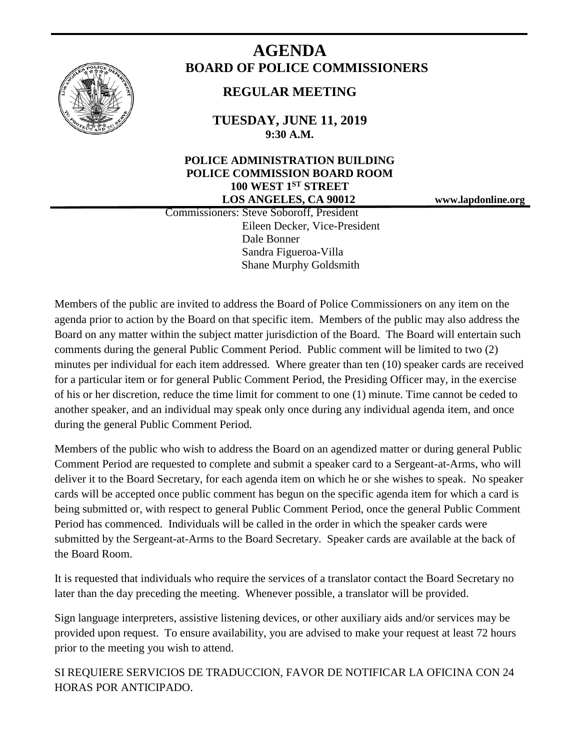

# **AGENDA BOARD OF POLICE COMMISSIONERS**

## **REGULAR MEETING**

**TUESDAY, JUNE 11, 2019 9:30 A.M.**

### **POLICE ADMINISTRATION BUILDING POLICE COMMISSION BOARD ROOM 100 WEST 1ST STREET LOS ANGELES, CA 90012 www.lapdonline.org**

 Commissioners: Steve Soboroff, President Eileen Decker, Vice-President Dale Bonner Sandra Figueroa-Villa Shane Murphy Goldsmith

Members of the public are invited to address the Board of Police Commissioners on any item on the agenda prior to action by the Board on that specific item. Members of the public may also address the Board on any matter within the subject matter jurisdiction of the Board. The Board will entertain such comments during the general Public Comment Period. Public comment will be limited to two (2) minutes per individual for each item addressed. Where greater than ten (10) speaker cards are received for a particular item or for general Public Comment Period, the Presiding Officer may, in the exercise of his or her discretion, reduce the time limit for comment to one (1) minute. Time cannot be ceded to another speaker, and an individual may speak only once during any individual agenda item, and once during the general Public Comment Period.

Members of the public who wish to address the Board on an agendized matter or during general Public Comment Period are requested to complete and submit a speaker card to a Sergeant-at-Arms, who will deliver it to the Board Secretary, for each agenda item on which he or she wishes to speak. No speaker cards will be accepted once public comment has begun on the specific agenda item for which a card is being submitted or, with respect to general Public Comment Period, once the general Public Comment Period has commenced. Individuals will be called in the order in which the speaker cards were submitted by the Sergeant-at-Arms to the Board Secretary. Speaker cards are available at the back of the Board Room.

It is requested that individuals who require the services of a translator contact the Board Secretary no later than the day preceding the meeting. Whenever possible, a translator will be provided.

Sign language interpreters, assistive listening devices, or other auxiliary aids and/or services may be provided upon request. To ensure availability, you are advised to make your request at least 72 hours prior to the meeting you wish to attend.

SI REQUIERE SERVICIOS DE TRADUCCION, FAVOR DE NOTIFICAR LA OFICINA CON 24 HORAS POR ANTICIPADO.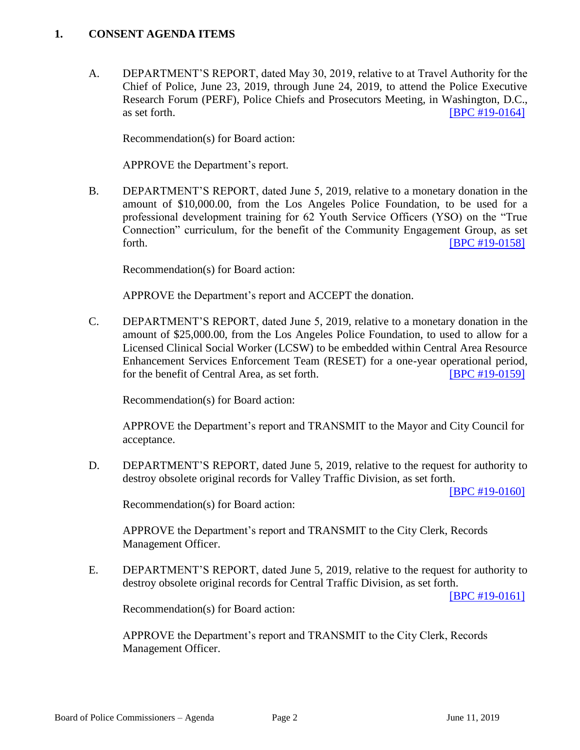#### **1. CONSENT AGENDA ITEMS**

A. DEPARTMENT'S REPORT, dated May 30, 2019, relative to at Travel Authority for the Chief of Police, June 23, 2019, through June 24, 2019, to attend the Police Executive Research Forum (PERF), Police Chiefs and Prosecutors Meeting, in Washington, D.C., as set forth. **IBPC #19-0164** 

Recommendation(s) for Board action:

APPROVE the Department's report.

B. DEPARTMENT'S REPORT, dated June 5, 2019, relative to a monetary donation in the amount of \$10,000.00, from the Los Angeles Police Foundation, to be used for a professional development training for 62 Youth Service Officers (YSO) on the "True Connection" curriculum, for the benefit of the Community Engagement Group, as set forth. **EXECUTE: EXECUTE: EXECUTE: EXECUTE: EXECUTE: EXECUTE: EXECUTE: EXECUTE: EXECUTE: EXECUTE: EXECUTE: EXECUTE: EXECUTE: EXECUTE: EXECUTE: EXECUTE: EXECUTE: EXECUTE: EXECUTE: EXECU** 

Recommendation(s) for Board action:

APPROVE the Department's report and ACCEPT the donation.

C. DEPARTMENT'S REPORT, dated June 5, 2019, relative to a monetary donation in the amount of \$25,000.00, from the Los Angeles Police Foundation, to used to allow for a Licensed Clinical Social Worker (LCSW) to be embedded within Central Area Resource Enhancement Services Enforcement Team (RESET) for a one-year operational period, for the benefit of Central Area, as set forth. [\[BPC #19-0159\]](http://www.lapdpolicecom.lacity.org/061119/BPC_19-0159.pdf)

Recommendation(s) for Board action:

 APPROVE the Department's report and TRANSMIT to the Mayor and City Council for acceptance.

D. DEPARTMENT'S REPORT, dated June 5, 2019, relative to the request for authority to destroy obsolete original records for Valley Traffic Division, as set forth.

[\[BPC #19-0160\]](http://www.lapdpolicecom.lacity.org/061119/BPC_19-0160.pdf)

Recommendation(s) for Board action:

APPROVE the Department's report and TRANSMIT to the City Clerk, Records Management Officer.

E. DEPARTMENT'S REPORT, dated June 5, 2019, relative to the request for authority to destroy obsolete original records for Central Traffic Division, as set forth.

[\[BPC #19-0161\]](http://www.lapdpolicecom.lacity.org/061119/BPC_19-0161.pdf)

Recommendation(s) for Board action:

APPROVE the Department's report and TRANSMIT to the City Clerk, Records Management Officer.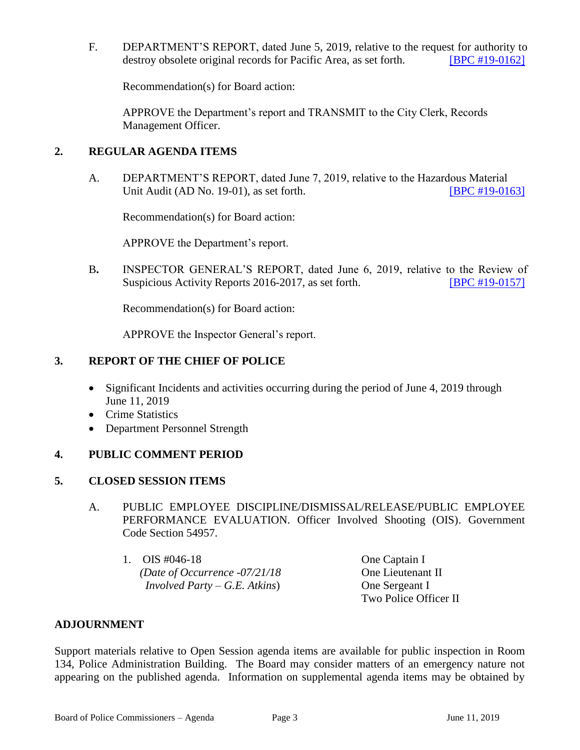F. DEPARTMENT'S REPORT, dated June 5, 2019, relative to the request for authority to destroy obsolete original records for Pacific Area, as set forth. [\[BPC #19-0162\]](http://www.lapdpolicecom.lacity.org/061119/BPC_19-0162.pdf)

Recommendation(s) for Board action:

APPROVE the Department's report and TRANSMIT to the City Clerk, Records Management Officer.

#### **2. REGULAR AGENDA ITEMS**

A. DEPARTMENT'S REPORT, dated June 7, 2019, relative to the Hazardous Material Unit Audit (AD No. 19-01), as set forth. [\[BPC #19-0163\]](http://www.lapdpolicecom.lacity.org/061119/BPC_19-0163.pdf)

Recommendation(s) for Board action:

APPROVE the Department's report.

B**.** INSPECTOR GENERAL'S REPORT, dated June 6, 2019, relative to the Review of Suspicious Activity Reports 2016-2017, as set forth. [\[BPC #19-0157\]](http://www.lapdpolicecom.lacity.org/061119/BPC_19-0157.pdf)

Recommendation(s) for Board action:

APPROVE the Inspector General's report.

#### **3. REPORT OF THE CHIEF OF POLICE**

- Significant Incidents and activities occurring during the period of June 4, 2019 through June 11, 2019
- Crime Statistics
- Department Personnel Strength

#### **4. PUBLIC COMMENT PERIOD**

#### **5. CLOSED SESSION ITEMS**

- A. PUBLIC EMPLOYEE DISCIPLINE/DISMISSAL/RELEASE/PUBLIC EMPLOYEE PERFORMANCE EVALUATION. Officer Involved Shooting (OIS). Government Code Section 54957.
	- 1. OIS #046-18 One Captain I *(Date of Occurrence -07/21/18* One Lieutenant II *Involved Party – G.E. Atkins*) One Sergeant I

Two Police Officer II

#### **ADJOURNMENT**

Support materials relative to Open Session agenda items are available for public inspection in Room 134, Police Administration Building. The Board may consider matters of an emergency nature not appearing on the published agenda. Information on supplemental agenda items may be obtained by